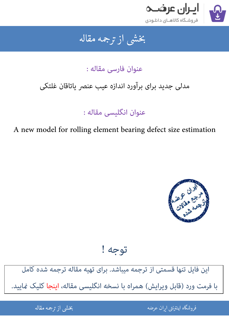

## جمه مقاله شی از تر بخشی از :

عنوان فارسی مقاله :

# مدلی جدید برای برآورد اندازه عیب عنصر یاتاقان غلتکی

عنوان انگلیسی مقاله :

A new model for rolling element bearing defect size estimation



توجه !

این فایل تنها قسمتی از ترجمه میباشد. برای تهیه مقاله ترجمه شده کامل با فرمت ورد (قابل ویرایش) همراه با نسخه انگلیسی مقاله، اینجا کلیک غایید.

> ֦֘ ه اينترنتي ايران عرضه مستخدم استخدام المستخدم المستخدم المستخدم المستخدم المستخدم المستخدم المستخدم المستخدم ا ֚֚֚֚֚֚֚֚֚֚֚֚֚֚֚֚֚֚֚֚֚֬֡֡֡֡֡֡֡֡֡֡֬֝֡֡֡֡֬֓֡֡֬

شی از ترجمه <mark>مقا</mark>له